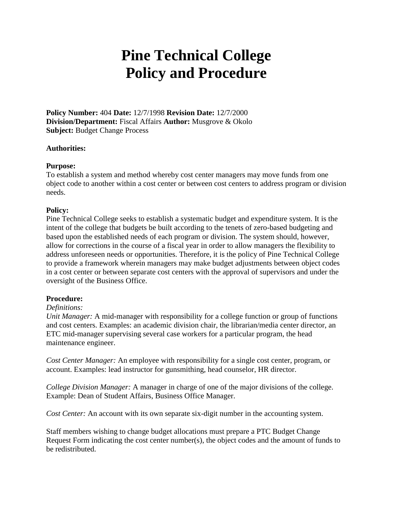# **Pine Technical College Policy and Procedure**

**Policy Number:** 404 **Date:** 12/7/1998 **Revision Date:** 12/7/2000 **Division/Department:** Fiscal Affairs **Author:** Musgrove & Okolo **Subject:** Budget Change Process

## **Authorities:**

## **Purpose:**

To establish a system and method whereby cost center managers may move funds from one object code to another within a cost center or between cost centers to address program or division needs.

## **Policy:**

Pine Technical College seeks to establish a systematic budget and expenditure system. It is the intent of the college that budgets be built according to the tenets of zero-based budgeting and based upon the established needs of each program or division. The system should, however, allow for corrections in the course of a fiscal year in order to allow managers the flexibility to address unforeseen needs or opportunities. Therefore, it is the policy of Pine Technical College to provide a framework wherein managers may make budget adjustments between object codes in a cost center or between separate cost centers with the approval of supervisors and under the oversight of the Business Office.

#### **Procedure:**

#### *Definitions:*

*Unit Manager:* A mid-manager with responsibility for a college function or group of functions and cost centers. Examples: an academic division chair, the librarian/media center director, an ETC mid-manager supervising several case workers for a particular program, the head maintenance engineer.

*Cost Center Manager:* An employee with responsibility for a single cost center, program, or account. Examples: lead instructor for gunsmithing, head counselor, HR director.

*College Division Manager:* A manager in charge of one of the major divisions of the college. Example: Dean of Student Affairs, Business Office Manager.

*Cost Center:* An account with its own separate six-digit number in the accounting system.

Staff members wishing to change budget allocations must prepare a PTC Budget Change Request Form indicating the cost center number(s), the object codes and the amount of funds to be redistributed.